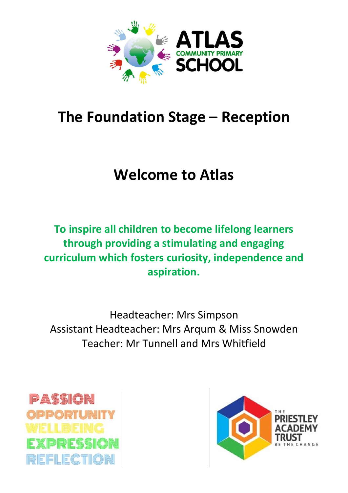

# **The Foundation Stage – Reception**

# **Welcome to Atlas**

**To inspire all children to become lifelong learners through providing a stimulating and engaging curriculum which fosters curiosity, independence and aspiration.** 

Headteacher: Mrs Simpson Assistant Headteacher: Mrs Arqum & Miss Snowden Teacher: Mr Tunnell and Mrs Whitfield



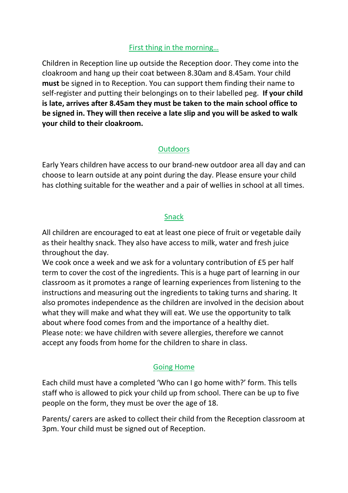#### First thing in the morning…

Children in Reception line up outside the Reception door. They come into the cloakroom and hang up their coat between 8.30am and 8.45am. Your child **must** be signed in to Reception. You can support them finding their name to self-register and putting their belongings on to their labelled peg. **If your child is late, arrives after 8.45am they must be taken to the main school office to be signed in. They will then receive a late slip and you will be asked to walk your child to their cloakroom.** 

## **Outdoors**

Early Years children have access to our brand-new outdoor area all day and can choose to learn outside at any point during the day. Please ensure your child has clothing suitable for the weather and a pair of wellies in school at all times.

#### Snack

All children are encouraged to eat at least one piece of fruit or vegetable daily as their healthy snack. They also have access to milk, water and fresh juice throughout the day.

We cook once a week and we ask for a voluntary contribution of £5 per half term to cover the cost of the ingredients. This is a huge part of learning in our classroom as it promotes a range of learning experiences from listening to the instructions and measuring out the ingredients to taking turns and sharing. It also promotes independence as the children are involved in the decision about what they will make and what they will eat. We use the opportunity to talk about where food comes from and the importance of a healthy diet. Please note: we have children with severe allergies, therefore we cannot accept any foods from home for the children to share in class.

## Going Home

Each child must have a completed 'Who can I go home with?' form. This tells staff who is allowed to pick your child up from school. There can be up to five people on the form, they must be over the age of 18.

Parents/ carers are asked to collect their child from the Reception classroom at 3pm. Your child must be signed out of Reception.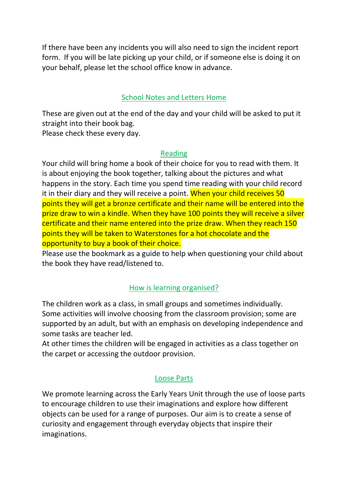If there have been any incidents you will also need to sign the incident report form. If you will be late picking up your child, or if someone else is doing it on your behalf, please let the school office know in advance.

### School Notes and Letters Home

These are given out at the end of the day and your child will be asked to put it straight into their book bag.

Please check these every day.

#### Reading

Your child will bring home a book of their choice for you to read with them. It is about enjoying the book together, talking about the pictures and what happens in the story. Each time you spend time reading with your child record it in their diary and they will receive a point. When your child receives 50 points they will get a bronze certificate and their name will be entered into the prize draw to win a kindle. When they have 100 points they will receive a silver certificate and their name entered into the prize draw. When they reach 150 points they will be taken to Waterstones for a hot chocolate and the opportunity to buy a book of their choice.

Please use the bookmark as a guide to help when questioning your child about the book they have read/listened to.

### How is learning organised?

The children work as a class, in small groups and sometimes individually. Some activities will involve choosing from the classroom provision; some are supported by an adult, but with an emphasis on developing independence and some tasks are teacher led.

At other times the children will be engaged in activities as a class together on the carpet or accessing the outdoor provision.

### Loose Parts

We promote learning across the Early Years Unit through the use of loose parts to encourage children to use their imaginations and explore how different objects can be used for a range of purposes. Our aim is to create a sense of curiosity and engagement through everyday objects that inspire their imaginations.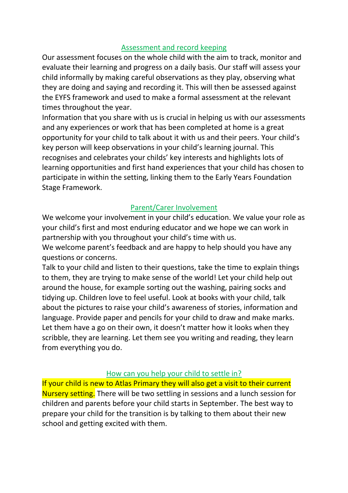#### Assessment and record keeping

Our assessment focuses on the whole child with the aim to track, monitor and evaluate their learning and progress on a daily basis. Our staff will assess your child informally by making careful observations as they play, observing what they are doing and saying and recording it. This will then be assessed against the EYFS framework and used to make a formal assessment at the relevant times throughout the year.

Information that you share with us is crucial in helping us with our assessments and any experiences or work that has been completed at home is a great opportunity for your child to talk about it with us and their peers. Your child's key person will keep observations in your child's learning journal. This recognises and celebrates your childs' key interests and highlights lots of learning opportunities and first hand experiences that your child has chosen to participate in within the setting, linking them to the Early Years Foundation Stage Framework.

### Parent/Carer Involvement

We welcome your involvement in your child's education. We value your role as your child's first and most enduring educator and we hope we can work in partnership with you throughout your child's time with us.

We welcome parent's feedback and are happy to help should you have any questions or concerns.

Talk to your child and listen to their questions, take the time to explain things to them, they are trying to make sense of the world! Let your child help out around the house, for example sorting out the washing, pairing socks and tidying up. Children love to feel useful. Look at books with your child, talk about the pictures to raise your child's awareness of stories, information and language. Provide paper and pencils for your child to draw and make marks. Let them have a go on their own, it doesn't matter how it looks when they scribble, they are learning. Let them see you writing and reading, they learn from everything you do.

#### How can you help your child to settle in?

If your child is new to Atlas Primary they will also get a visit to their current Nursery setting. There will be two settling in sessions and a lunch session for children and parents before your child starts in September. The best way to prepare your child for the transition is by talking to them about their new school and getting excited with them.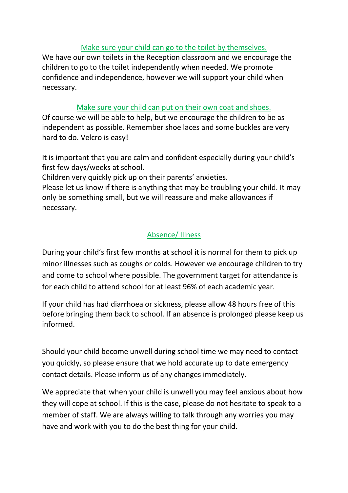#### Make sure your child can go to the toilet by themselves.

We have our own toilets in the Reception classroom and we encourage the children to go to the toilet independently when needed. We promote confidence and independence, however we will support your child when necessary.

#### Make sure your child can put on their own coat and shoes.

Of course we will be able to help, but we encourage the children to be as independent as possible. Remember shoe laces and some buckles are very hard to do. Velcro is easy!

It is important that you are calm and confident especially during your child's first few days/weeks at school.

Children very quickly pick up on their parents' anxieties.

Please let us know if there is anything that may be troubling your child. It may only be something small, but we will reassure and make allowances if necessary.

## Absence/ Illness

During your child's first few months at school it is normal for them to pick up minor illnesses such as coughs or colds. However we encourage children to try and come to school where possible. The government target for attendance is for each child to attend school for at least 96% of each academic year.

If your child has had diarrhoea or sickness, please allow 48 hours free of this before bringing them back to school. If an absence is prolonged please keep us informed.

Should your child become unwell during school time we may need to contact you quickly, so please ensure that we hold accurate up to date emergency contact details. Please inform us of any changes immediately.

We appreciate that when your child is unwell you may feel anxious about how they will cope at school. If this is the case, please do not hesitate to speak to a member of staff. We are always willing to talk through any worries you may have and work with you to do the best thing for your child.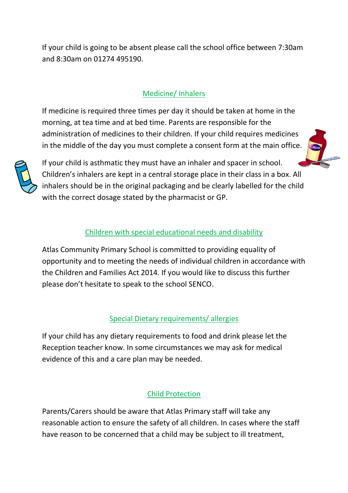If your child is going to be absent please call the school office between 7:30am and 8:30am on 01274 495190.

# Medicine/ Inhalers

If medicine is required three times per day it should be taken at home in the morning, at tea time and at bed time. Parents are responsible for the administration of medicines to their children. If your child requires medicines in the middle of the day you must complete a consent form at the main office.



If your child is asthmatic they must have an inhaler and spacer in school. Children's inhalers are kept in a central storage place in their class in a box. All inhalers should be in the original packaging and be clearly labelled for the child with the correct dosage stated by the pharmacist or GP.

## Children with special educational needs and disability

Atlas Community Primary School is committed to providing equality of opportunity and to meeting the needs of individual children in accordance with the Children and Families Act 2014. If you would like to discuss this further please don't hesitate to speak to the school SENCO.

### Special Dietary requirements/ allergies

If your child has any dietary requirements to food and drink please let the Reception teacher know. In some circumstances we may ask for medical evidence of this and a care plan may be needed.

### Child Protection

Parents/Carers should be aware that Atlas Primary staff will take any reasonable action to ensure the safety of all children. In cases where the staff have reason to be concerned that a child may be subject to ill treatment,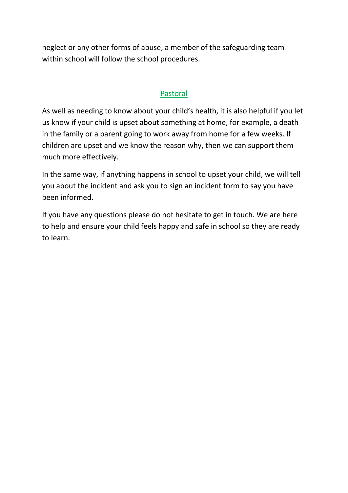neglect or any other forms of abuse, a member of the safeguarding team within school will follow the school procedures.

### Pastoral

As well as needing to know about your child's health, it is also helpful if you let us know if your child is upset about something at home, for example, a death in the family or a parent going to work away from home for a few weeks. If children are upset and we know the reason why, then we can support them much more effectively.

In the same way, if anything happens in school to upset your child, we will tell you about the incident and ask you to sign an incident form to say you have been informed.

If you have any questions please do not hesitate to get in touch. We are here to help and ensure your child feels happy and safe in school so they are ready to learn.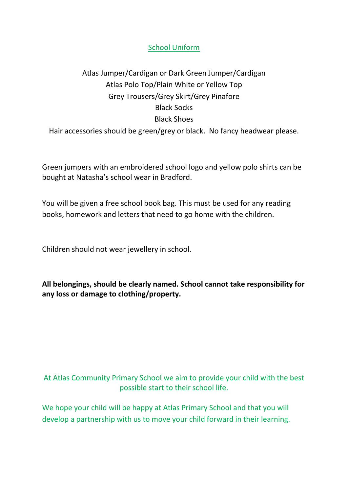#### School Uniform

# Atlas Jumper/Cardigan or Dark Green Jumper/Cardigan Atlas Polo Top/Plain White or Yellow Top Grey Trousers/Grey Skirt/Grey Pinafore Black Socks Black Shoes Hair accessories should be green/grey or black. No fancy headwear please.

Green jumpers with an embroidered school logo and yellow polo shirts can be bought at Natasha's school wear in Bradford.

You will be given a free school book bag. This must be used for any reading books, homework and letters that need to go home with the children.

Children should not wear jewellery in school.

**All belongings, should be clearly named. School cannot take responsibility for any loss or damage to clothing/property.**

## At Atlas Community Primary School we aim to provide your child with the best possible start to their school life.

We hope your child will be happy at Atlas Primary School and that you will develop a partnership with us to move your child forward in their learning.